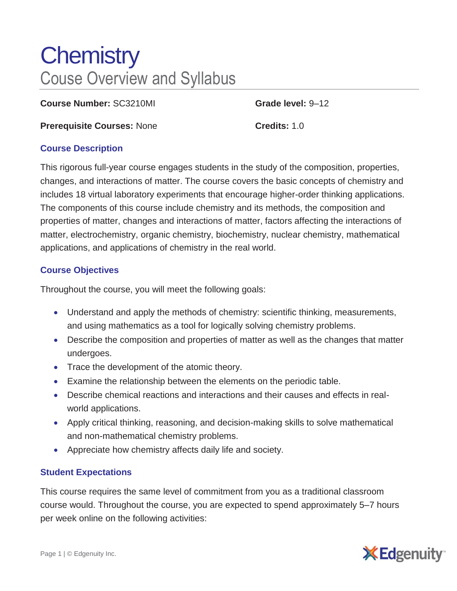# **Chemistry** Couse Overview and Syllabus

**Course Number:** SC3210MI **Grade level:** 9–12

**Prerequisite Courses: None <b>Credits:** 1.0

## **Course Description**

This rigorous full-year course engages students in the study of the composition, properties, changes, and interactions of matter. The course covers the basic concepts of chemistry and includes 18 virtual laboratory experiments that encourage higher-order thinking applications. The components of this course include chemistry and its methods, the composition and properties of matter, changes and interactions of matter, factors affecting the interactions of matter, electrochemistry, organic chemistry, biochemistry, nuclear chemistry, mathematical applications, and applications of chemistry in the real world.

# **Course Objectives**

Throughout the course, you will meet the following goals:

- Understand and apply the methods of chemistry: scientific thinking, measurements, and using mathematics as a tool for logically solving chemistry problems.
- Describe the composition and properties of matter as well as the changes that matter undergoes.
- Trace the development of the atomic theory.
- Examine the relationship between the elements on the periodic table.
- Describe chemical reactions and interactions and their causes and effects in realworld applications.
- Apply critical thinking, reasoning, and decision-making skills to solve mathematical and non-mathematical chemistry problems.
- Appreciate how chemistry affects daily life and society.

## **Student Expectations**

This course requires the same level of commitment from you as a traditional classroom course would. Throughout the course, you are expected to spend approximately 5–7 hours per week online on the following activities: